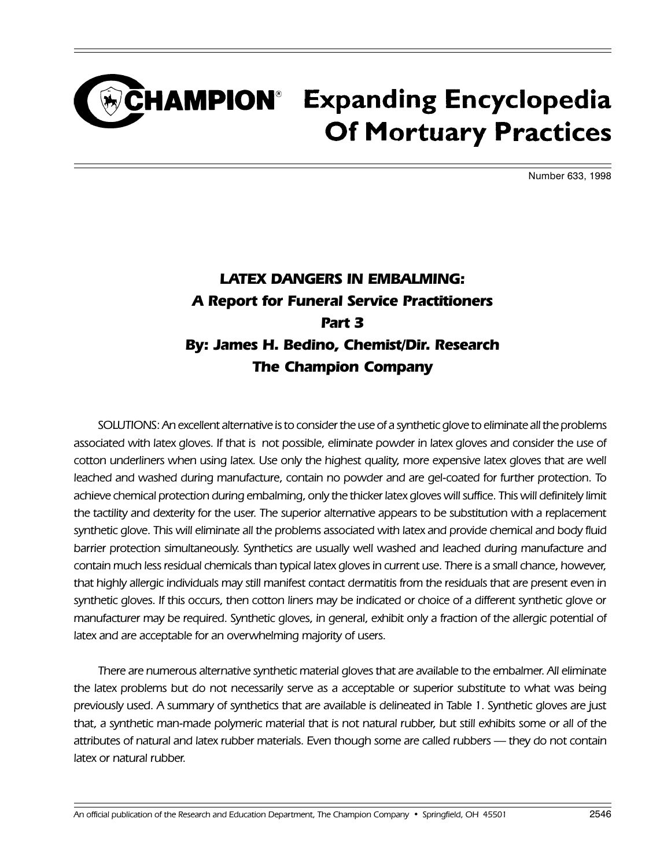### CHAMPION<sup>®</sup> Expanding Encyclopedia **Of Mortuary Practices**

Number 633, 1998

#### LATEX DANGERS IN EMBALMING: A Report for Funeral Service Practitioners Part 3 By: James H. Bedino, Chemist/Dir. Research The Champion Company

SOLUTIONS: An excellent alternative is to consider the use of a synthetic glove to eliminate all the problems associated with latex gloves. If that is not possible, eliminate powder in latex gloves and consider the use of cotton underliners when using latex. Use only the highest quality, more expensive latex gloves that are well leached and washed during manufacture, contain no powder and are gel-coated for further protection. To achieve chemical protection during embalming, only the thicker latex gloves will suffice. This will definitely limit the tactility and dexterity for the user. The superior alternative appears to be substitution with a replacement synthetic glove. This will eliminate all the problems associated with latex and provide chemical and body fluid barrier protection simultaneously. Synthetics are usually well washed and leached during manufacture and contain much less residual chemicals than typical latex gloves in current use. There is a small chance, however, that highly allergic individuals may still manifest contact dermatitis from the residuals that are present even in synthetic gloves. If this occurs, then cotton liners may be indicated or choice of a different synthetic glove or manufacturer may be required. Synthetic gloves, in general, exhibit only a fraction of the allergic potential of latex and are acceptable for an overwhelming majority of users.

There are numerous alternative synthetic material gloves that are available to the embalmer. All eliminate the latex problems but do not necessarily serve as a acceptable or superior substitute to what was being previously used. A summary of synthetics that are available is delineated in Table 1. Synthetic gloves are just that, a synthetic man-made polymeric material that is not natural rubber, but still exhibits some or all of the attributes of natural and latex rubber materials. Even though some are called rubbers - they do not contain latex or natural rubber.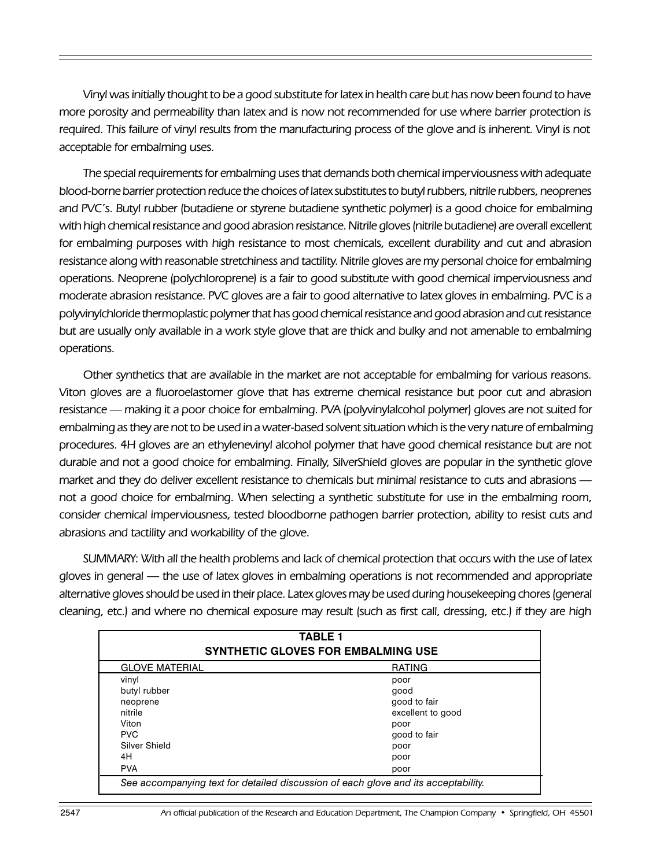Vinyl was initially thought to be a good substitute for latex in health care but has now been found to have more porosity and permeability than latex and is now not recommended for use where barrier protection is required. This failure of vinyl results from the manufacturing process of the glove and is inherent. Vinyl is not acceptable for embalming uses.

The special requirements for embalming uses that demands both chemical imperviousness with adequate blood-borne barrier protection reduce the choices of latex substitutes to butyl rubbers, nitrile rubbers, neoprenes and PVC's. Butyl rubber (butadiene or styrene butadiene synthetic polymer) is a good choice for embalming with high chemical resistance and good abrasion resistance. Nitrile gloves (nitrile butadiene) are overall excellent for embalming purposes with high resistance to most chemicals, excellent durability and cut and abrasion resistance along with reasonable stretchiness and tactility. Nitrile gloves are my personal choice for embalming operations. Neoprene (polychloroprene) is a fair to good substitute with good chemical imperviousness and moderate abrasion resistance. PVC gloves are a fair to good alternative to latex gloves in embalming. PVC is a polyvinylchloride thermoplastic polymer that has good chemical resistance and good abrasion and cut resistance but are usually only available in a work style glove that are thick and bulky and not amenable to embalming operations.

Other synthetics that are available in the market are not acceptable for embalming for various reasons. Viton gloves are a fluoroelastomer glove that has extreme chemical resistance but poor cut and abrasion resistance making it a poor choice for embalming. PVA (polyvinylalcohol polymer) gloves are not suited for embalming as they are not to be used in a water-based solvent situation which is the very nature of embalming procedures. 4H gloves are an ethylenevinyl alcohol polymer that have good chemical resistance but are not durable and not a good choice for embalming. Finally, SilverShield gloves are popular in the synthetic glove market and they do deliver excellent resistance to chemicals but minimal resistance to cuts and abrasions not a good choice for embalming. When selecting a synthetic substitute for use in the embalming room, consider chemical imperviousness, tested bloodborne pathogen barrier protection, ability to resist cuts and abrasions and tactility and workability of the glove.

SUMMARY: With all the health problems and lack of chemical protection that occurs with the use of latex gloves in general — the use of latex gloves in embalming operations is not recommended and appropriate alternative gloves should be used in their place. Latex gloves may be used during housekeeping chores (general cleaning, etc.) and where no chemical exposure may result (such as first call, dressing, etc.) if they are high

| <b>TABLE 1</b><br><b>SYNTHETIC GLOVES FOR EMBALMING USE</b>                        |                   |
|------------------------------------------------------------------------------------|-------------------|
| <b>GLOVE MATERIAL</b>                                                              | <b>RATING</b>     |
| vinyl                                                                              | poor              |
| butyl rubber                                                                       | good              |
| neoprene                                                                           | good to fair      |
| nitrile                                                                            | excellent to good |
| Viton                                                                              | poor              |
| <b>PVC</b>                                                                         | good to fair      |
| Silver Shield                                                                      | poor              |
| 4H                                                                                 | poor              |
| <b>PVA</b>                                                                         | poor              |
| See accompanying text for detailed discussion of each glove and its acceptability. |                   |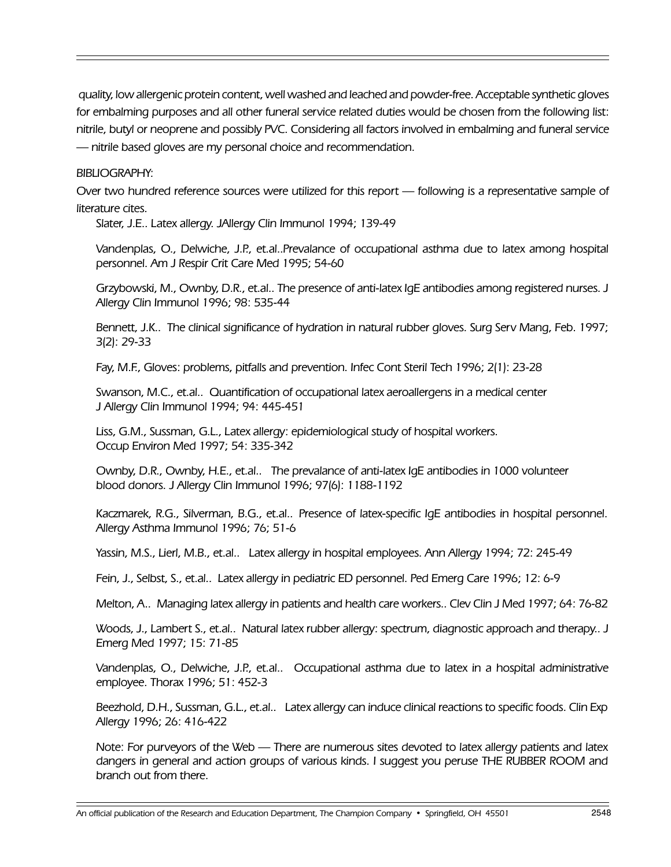quality, low allergenic protein content, well washed and leached and powder-free. Acceptable synthetic gloves for embalming purposes and all other funeral service related duties would be chosen from the following list: nitrile, butyl or neoprene and possibly PVC. Considering all factors involved in embalming and funeral service nitrile based gloves are my personal choice and recommendation.

#### BIBLIOGRAPHY:

Over two hundred reference sources were utilized for this report — following is a representative sample of literature cites.

Slater, J.E.. Latex allergy. JAllergy Clin Immunol 1994; 139-49

Vandenplas, O., Delwiche, J.P., et.al..Prevalance of occupational asthma due to latex among hospital personnel. Am J Respir Crit Care Med 1995; 54-60

Grzybowski, M., Ownby, D.R., et.al.. The presence of anti-latex IgE antibodies among registered nurses. J Allergy Clin Immunol 1996; 98: 535-44

Bennett, J.K.. The clinical significance of hydration in natural rubber gloves. Surg Serv Mang, Feb. 1997; 3(2): 29-33

Fay, M.F., Gloves: problems, pitfalls and prevention. Infec Cont Steril Tech 1996; 2(1): 23-28

Swanson, M.C., et.al.. Quantification of occupational latex aeroallergens in a medical center J Allergy Clin Immunol 1994; 94: 445-451

Liss, G.M., Sussman, G.L., Latex allergy: epidemiological study of hospital workers. Occup Environ Med 1997; 54: 335-342

Ownby, D.R., Ownby, H.E., et.al.. The prevalance of anti-latex IgE antibodies in 1000 volunteer blood donors. J Allergy Clin Immunol 1996; 97(6): 1188-1192

Kaczmarek, R.G., Silverman, B.G., et.al.. Presence of latex-specific IgE antibodies in hospital personnel. Allergy Asthma Immunol 1996; 76; 51-6

Yassin, M.S., Lierl, M.B., et.al.. Latex allergy in hospital employees. Ann Allergy 1994; 72: 245-49

Fein, J., Selbst, S., et.al.. Latex allergy in pediatric ED personnel. Ped Emerg Care 1996; 12: 6-9

Melton, A.. Managing latex allergy in patients and health care workers.. Clev Clin J Med 1997; 64: 76-82

Woods, J., Lambert S., et.al.. Natural latex rubber allergy: spectrum, diagnostic approach and therapy.. J Emerg Med 1997; 15: 71-85

Vandenplas, O., Delwiche, J.P., et.al.. Occupational asthma due to latex in a hospital administrative employee. Thorax 1996; 51: 452-3

Beezhold, D.H., Sussman, G.L., et.al.. Latex allergy can induce clinical reactions to specific foods. Clin Exp Allergy 1996; 26: 416-422

Note: For purveyors of the Web — There are numerous sites devoted to latex allergy patients and latex dangers in general and action groups of various kinds. I suggest you peruse THE RUBBER ROOM and branch out from there.